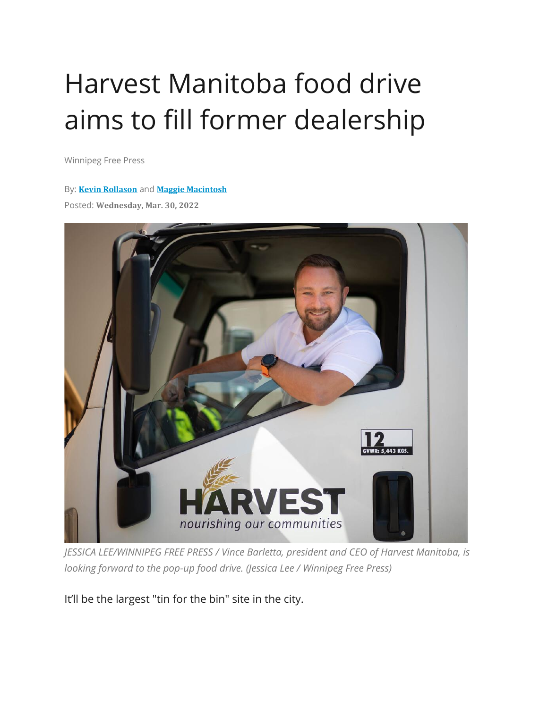## Harvest Manitoba food drive aims to fill former dealership

Winnipeg Free Press

## By: **Kevin [Rollason](https://www.winnipegfreepress.com/biographies/305362361.html)** and **Maggie [Macintosh](https://www.winnipegfreepress.com/biographies/561336951.html)**

Posted: **Wednesday, Mar. 30, 2022**



*JESSICA LEE/WINNIPEG FREE PRESS / Vince Barletta, president and CEO of Harvest Manitoba, is looking forward to the pop-up food drive. (Jessica Lee / Winnipeg Free Press)*

It'll be the largest "tin for the bin" site in the city.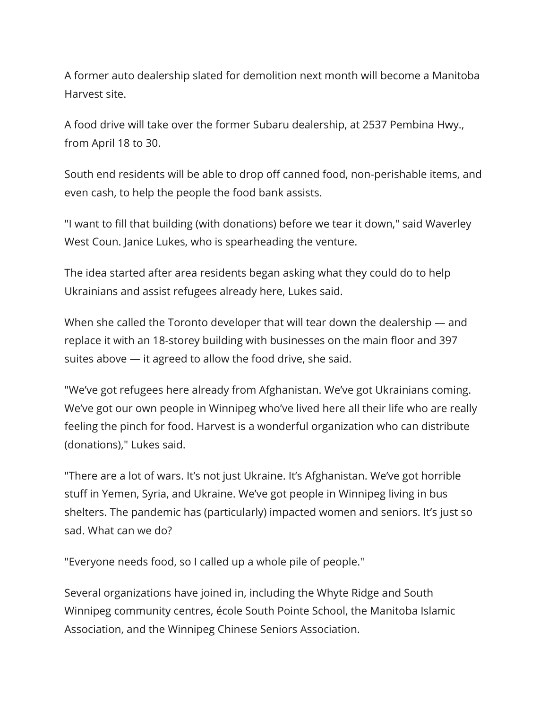A former auto dealership slated for demolition next month will become a Manitoba Harvest site.

A food drive will take over the former Subaru dealership, at 2537 Pembina Hwy., from April 18 to 30.

South end residents will be able to drop off canned food, non-perishable items, and even cash, to help the people the food bank assists.

"I want to fill that building (with donations) before we tear it down," said Waverley West Coun. Janice Lukes, who is spearheading the venture.

The idea started after area residents began asking what they could do to help Ukrainians and assist refugees already here, Lukes said.

When she called the Toronto developer that will tear down the dealership — and replace it with an 18-storey building with businesses on the main floor and 397 suites above — it agreed to allow the food drive, she said.

"We've got refugees here already from Afghanistan. We've got Ukrainians coming. We've got our own people in Winnipeg who've lived here all their life who are really feeling the pinch for food. Harvest is a wonderful organization who can distribute (donations)," Lukes said.

"There are a lot of wars. It's not just Ukraine. It's Afghanistan. We've got horrible stuff in Yemen, Syria, and Ukraine. We've got people in Winnipeg living in bus shelters. The pandemic has (particularly) impacted women and seniors. It's just so sad. What can we do?

"Everyone needs food, so I called up a whole pile of people."

Several organizations have joined in, including the Whyte Ridge and South Winnipeg community centres, école South Pointe School, the Manitoba Islamic Association, and the Winnipeg Chinese Seniors Association.